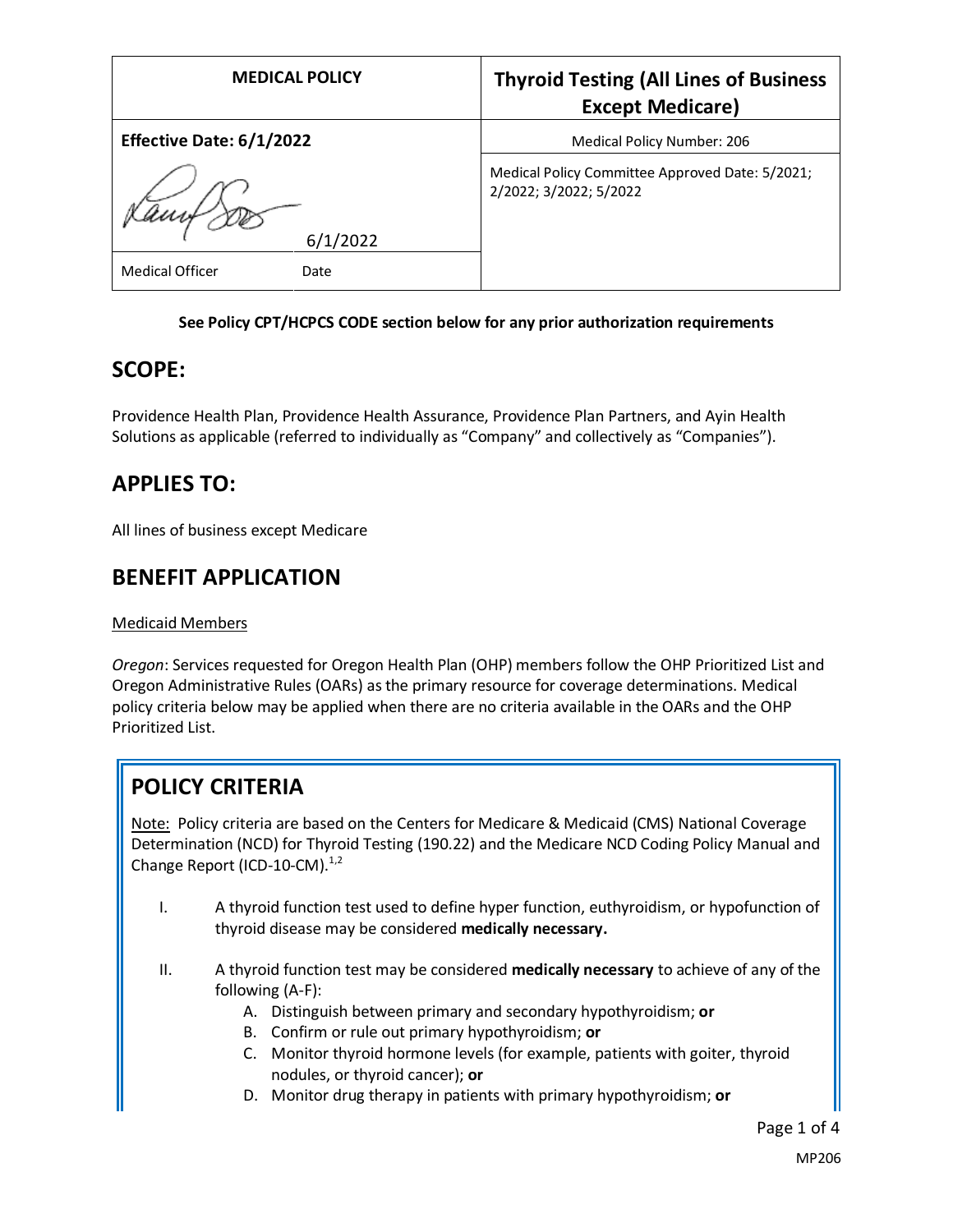| <b>MEDICAL POLICY</b>                      | <b>Thyroid Testing (All Lines of Business</b><br><b>Except Medicare)</b>  |
|--------------------------------------------|---------------------------------------------------------------------------|
| Effective Date: 6/1/2022                   | Medical Policy Number: 206                                                |
| 6/1/2022<br><b>Medical Officer</b><br>Date | Medical Policy Committee Approved Date: 5/2021;<br>2/2022; 3/2022; 5/2022 |

#### **See Policy CPT/HCPCS CODE section below for any prior authorization requirements**

### **SCOPE:**

Providence Health Plan, Providence Health Assurance, Providence Plan Partners, and Ayin Health Solutions as applicable (referred to individually as "Company" and collectively as "Companies").

## **APPLIES TO:**

All lines of business except Medicare

### **BENEFIT APPLICATION**

#### Medicaid Members

*Oregon*: Services requested for Oregon Health Plan (OHP) members follow the OHP Prioritized List and Oregon Administrative Rules (OARs) as the primary resource for coverage determinations. Medical policy criteria below may be applied when there are no criteria available in the OARs and the OHP Prioritized List.

## **POLICY CRITERIA**

Note: Policy criteria are based on the Centers for Medicare & Medicaid (CMS) National Coverage Determination (NCD) for Thyroid Testing (190.22) and the Medicare NCD Coding Policy Manual and Change Report (ICD-10-CM). $^{1,2}$ 

- I. A thyroid function test used to define hyper function, euthyroidism, or hypofunction of thyroid disease may be considered **medically necessary.**
- II. A thyroid function test may be considered **medically necessary** to achieve of any of the following (A-F):
	- A. Distinguish between primary and secondary hypothyroidism; **or**
	- B. Confirm or rule out primary hypothyroidism; **or**
	- C. Monitor thyroid hormone levels (for example, patients with goiter, thyroid nodules, or thyroid cancer); **or**
	- D. Monitor drug therapy in patients with primary hypothyroidism; **or**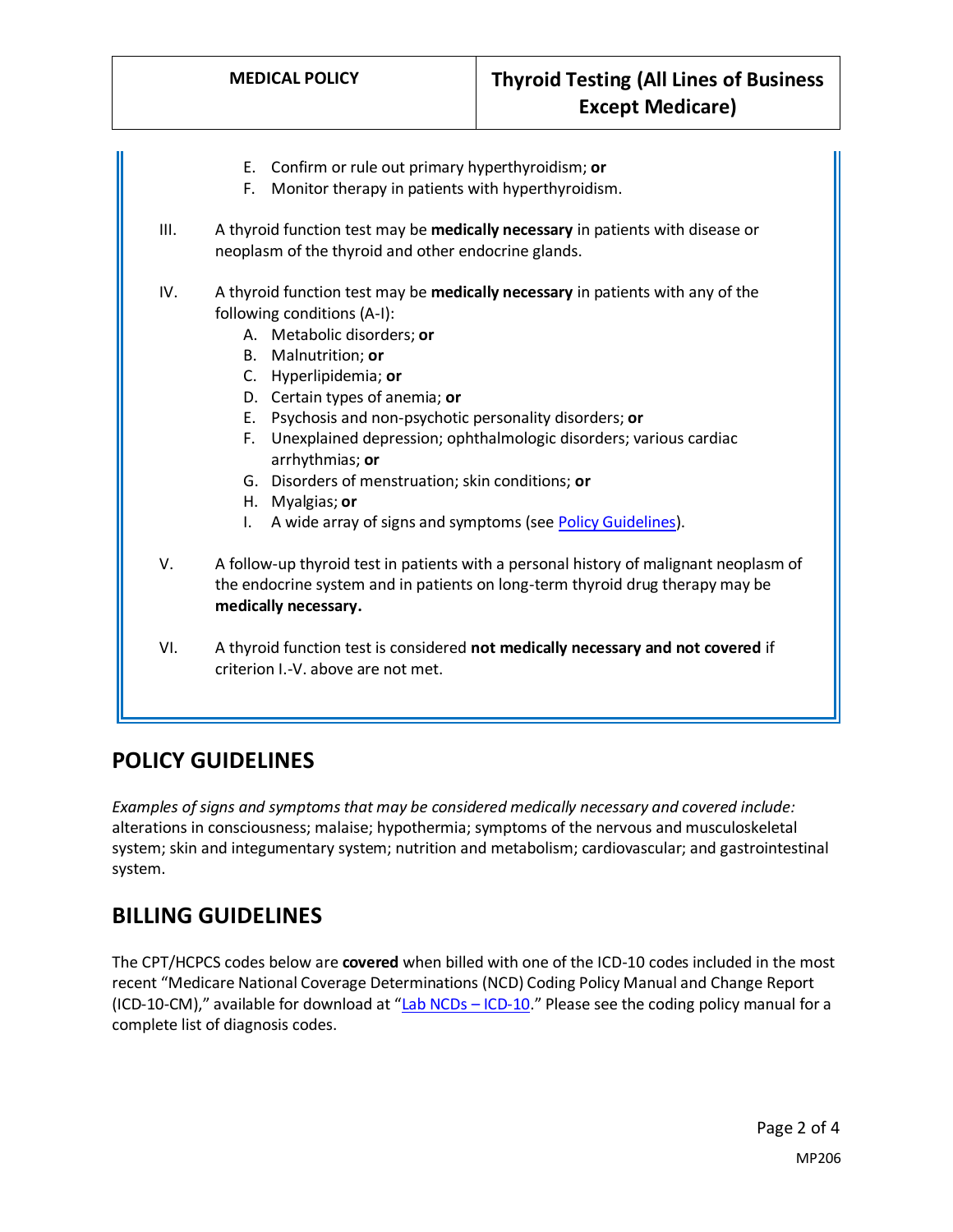E. Confirm or rule out primary hyperthyroidism; **or** F. Monitor therapy in patients with hyperthyroidism. III. A thyroid function test may be **medically necessary** in patients with disease or neoplasm of the thyroid and other endocrine glands. IV. A thyroid function test may be **medically necessary** in patients with any of the following conditions (A-I): A. Metabolic disorders; **or** B. Malnutrition; **or** C. Hyperlipidemia; **or** D. Certain types of anemia; **or** E. Psychosis and non-psychotic personality disorders; **or** F. Unexplained depression; ophthalmologic disorders; various cardiac arrhythmias; **or** G. Disorders of menstruation; skin conditions; **or** H. Myalgias; **or** I. A wide array of signs and symptoms (se[e Policy Guidelines\)](#page-1-0). V. A follow-up thyroid test in patients with a personal history of malignant neoplasm of the endocrine system and in patients on long-term thyroid drug therapy may be **medically necessary.** VI. A thyroid function test is considered **not medically necessary and not covered** if criterion I.-V. above are not met.

# <span id="page-1-0"></span>**POLICY GUIDELINES**

*Examples of signs and symptoms that may be considered medically necessary and covered include:* alterations in consciousness; malaise; hypothermia; symptoms of the nervous and musculoskeletal system; skin and integumentary system; nutrition and metabolism; cardiovascular; and gastrointestinal system.

# **BILLING GUIDELINES**

The CPT/HCPCS codes below are **covered** when billed with one of the ICD-10 codes included in the most recent "Medicare National Coverage Determinations (NCD) Coding Policy Manual and Change Report (ICD-10-CM)," available for download at "[Lab NCDs](https://www.cms.gov/Medicare/Coverage/CoverageGenInfo/LabNCDsICD10) – ICD-10." Please see the coding policy manual for a complete list of diagnosis codes.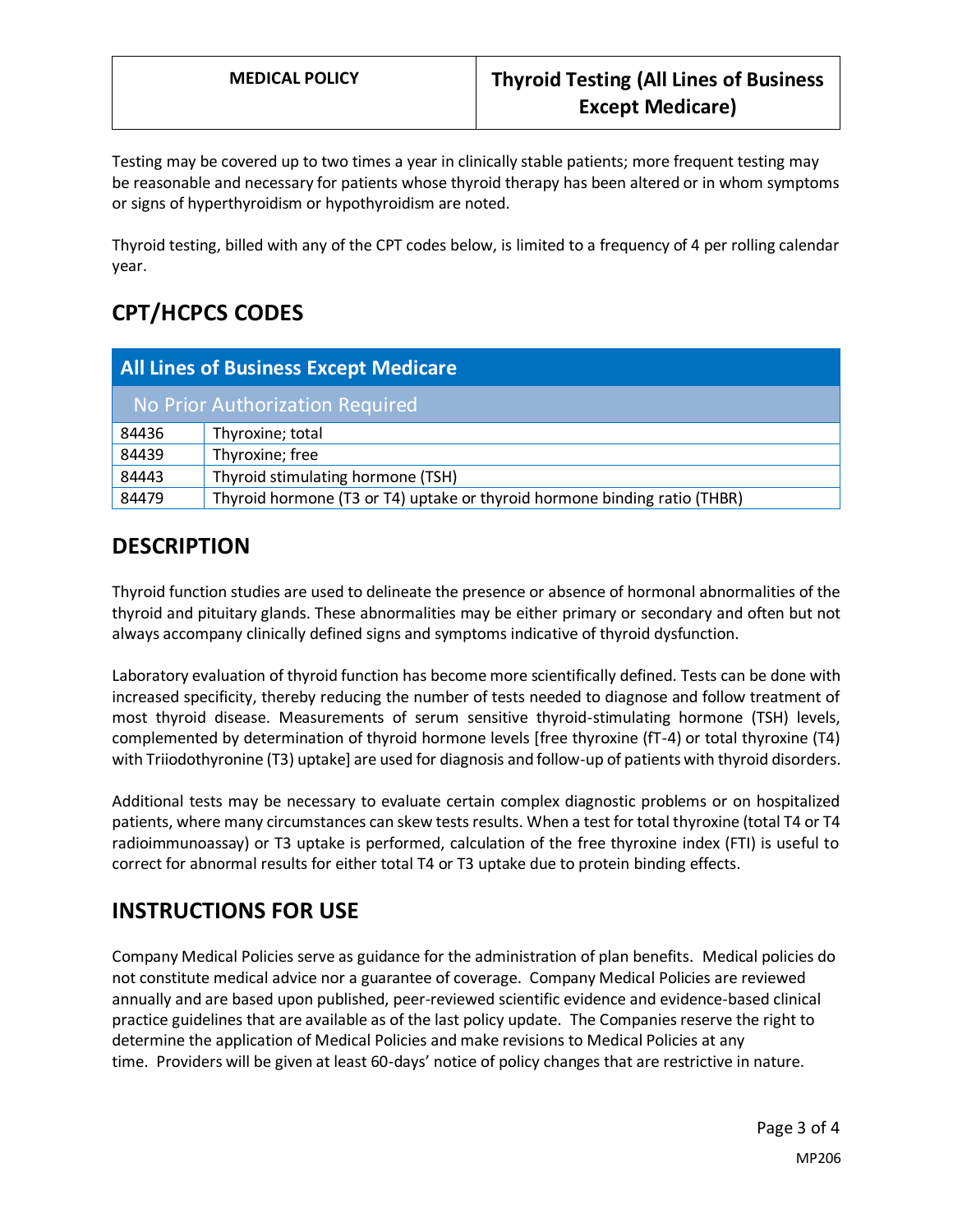Testing may be covered up to two times a year in clinically stable patients; more frequent testing may be reasonable and necessary for patients whose thyroid therapy has been altered or in whom symptoms or signs of hyperthyroidism or hypothyroidism are noted.

Thyroid testing, billed with any of the CPT codes below, is limited to a frequency of 4 per rolling calendar year.

# **CPT/HCPCS CODES**

| <b>All Lines of Business Except Medicare</b> |                                                                           |
|----------------------------------------------|---------------------------------------------------------------------------|
| No Prior Authorization Required              |                                                                           |
| 84436                                        | Thyroxine; total                                                          |
| 84439                                        | Thyroxine; free                                                           |
| 84443                                        | Thyroid stimulating hormone (TSH)                                         |
| 84479                                        | Thyroid hormone (T3 or T4) uptake or thyroid hormone binding ratio (THBR) |

# **DESCRIPTION**

Thyroid function studies are used to delineate the presence or absence of hormonal abnormalities of the thyroid and pituitary glands. These abnormalities may be either primary or secondary and often but not always accompany clinically defined signs and symptoms indicative of thyroid dysfunction.

Laboratory evaluation of thyroid function has become more scientifically defined. Tests can be done with increased specificity, thereby reducing the number of tests needed to diagnose and follow treatment of most thyroid disease. Measurements of serum sensitive thyroid-stimulating hormone (TSH) levels, complemented by determination of thyroid hormone levels [free thyroxine (fT-4) or total thyroxine (T4) with Triiodothyronine (T3) uptake] are used for diagnosis and follow-up of patients with thyroid disorders.

Additional tests may be necessary to evaluate certain complex diagnostic problems or on hospitalized patients, where many circumstances can skew tests results. When a test for total thyroxine (total T4 or T4 radioimmunoassay) or T3 uptake is performed, calculation of the free thyroxine index (FTI) is useful to correct for abnormal results for either total T4 or T3 uptake due to protein binding effects.

# **INSTRUCTIONS FOR USE**

Company Medical Policies serve as guidance for the administration of plan benefits. Medical policies do not constitute medical advice nor a guarantee of coverage. Company Medical Policies are reviewed annually and are based upon published, peer-reviewed scientific evidence and evidence-based clinical practice guidelines that are available as of the last policy update. The Companies reserve the right to determine the application of Medical Policies and make revisions to Medical Policies at any time. Providers will be given at least 60-days' notice of policy changes that are restrictive in nature.